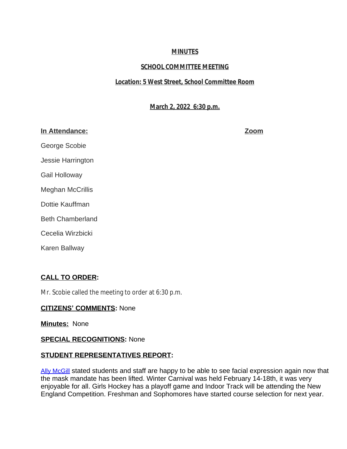# **MINUTES**

# **SCHOOL COMMITTEE MEETING**

# **Location: 5 West Street, School Committee Room**

# **March 2, 2022 6:30 p.m.**

## **In Attendance: Zoom**

George Scobie Jessie Harrington Gail Holloway Meghan McCrillis Dottie Kauffman Beth Chamberland Cecelia Wirzbicki Karen Ballway

# **CALL TO ORDER:**

Mr. Scobie called the meeting to order at 6:30 p.m.

# **CITIZENS' COMMENTS:** None

**Minutes:** None

# **SPECIAL RECOGNITIONS:** None

# **STUDENT REPRESENTATIVES REPORT:**

[Ally McGill](mailto:amcgill23@auburn.k12.ma.us) stated students and staff are happy to be able to see facial expression again now that the mask mandate has been lifted. Winter Carnival was held February 14-18th, it was very enjoyable for all. Girls Hockey has a playoff game and Indoor Track will be attending the New England Competition. Freshman and Sophomores have started course selection for next year.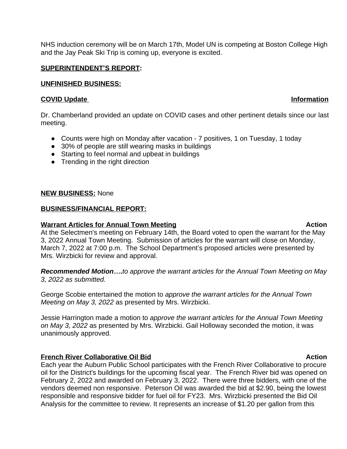NHS induction ceremony will be on March 17th, Model UN is competing at Boston College High and the Jay Peak Ski Trip is coming up, everyone is excited.

### **SUPERINTENDENT'S REPORT:**

### **UNFINISHED BUSINESS:**

### **COVID Update** Information

Dr. Chamberland provided an update on COVID cases and other pertinent details since our last meeting.

- Counts were high on Monday after vacation 7 positives, 1 on Tuesday, 1 today
- 30% of people are still wearing masks in buildings
- Starting to feel normal and upbeat in buildings
- Trending in the right direction

### **NEW BUSINESS:** None

### **BUSINESS/FINANCIAL REPORT:**

### **Warrant Articles for Annual Town Meeting and Action Action**

At the Selectmen's meeting on February 14th, the Board voted to open the warrant for the May 3, 2022 Annual Town Meeting. Submission of articles for the warrant will close on Monday, March 7, 2022 at 7:00 p.m. The School Department's proposed articles were presented by Mrs. Wirzbicki for review and approval.

*Recommended Motion….to approve the warrant articles for the Annual Town Meeting on May 3, 2022 as submitted.*

George Scobie entertained the motion to *approve the warrant articles for the Annual Town Meeting on May 3, 2022* as presented by Mrs. Wirzbicki.

Jessie Harrington made a motion to *approve the warrant articles for the Annual Town Meeting on May 3, 2022* as presented by Mrs. Wirzbicki. Gail Holloway seconded the motion, it was unanimously approved.

### **French River Collaborative Oil Bid Action Action Action Action**

Each year the Auburn Public School participates with the French River Collaborative to procure oil for the District's buildings for the upcoming fiscal year. The French River bid was opened on February 2, 2022 and awarded on February 3, 2022. There were three bidders, with one of the vendors deemed non responsive. Peterson Oil was awarded the bid at \$2.90, being the lowest responsible and responsive bidder for fuel oil for FY23. Mrs. Wirzbicki presented the Bid Oil Analysis for the committee to review. It represents an increase of \$1.20 per gallon from this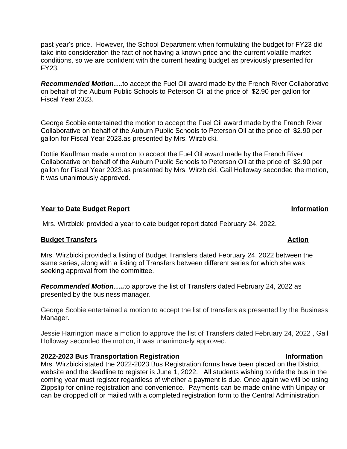past year's price. However, the School Department when formulating the budget for FY23 did take into consideration the fact of not having a known price and the current volatile market conditions, so we are confident with the current heating budget as previously presented for FY23.

**Recommended Motion....to accept the Fuel Oil award made by the French River Collaborative** on behalf of the Auburn Public Schools to Peterson Oil at the price of \$2.90 per gallon for Fiscal Year 2023.

George Scobie entertained the motion to accept the Fuel Oil award made by the French River Collaborative on behalf of the Auburn Public Schools to Peterson Oil at the price of \$2.90 per gallon for Fiscal Year 2023.as presented by Mrs. Wirzbicki.

Dottie Kauffman made a motion to accept the Fuel Oil award made by the French River Collaborative on behalf of the Auburn Public Schools to Peterson Oil at the price of \$2.90 per gallon for Fiscal Year 2023.as presented by Mrs. Wirzbicki. Gail Holloway seconded the motion, it was unanimously approved.

### **Year to Date Budget Report Information**

Mrs. Wirzbicki provided a year to date budget report dated February 24, 2022.

# **Budget Transfers** Action **Budget Transfers**

Mrs. Wirzbicki provided a listing of Budget Transfers dated February 24, 2022 between the same series, along with a listing of Transfers between different series for which she was seeking approval from the committee.

*Recommended Motion…..*to approve the list of Transfers dated February 24, 2022 as presented by the business manager.

George Scobie entertained a motion to accept the list of transfers as presented by the Business Manager.

Jessie Harrington made a motion to approve the list of Transfers dated February 24, 2022 , Gail Holloway seconded the motion, it was unanimously approved.

### **2022-2023 Bus Transportation Registration Information**

Mrs. Wirzbicki stated the 2022-2023 Bus Registration forms have been placed on the District website and the deadline to register is June 1, 2022. All students wishing to ride the bus in the coming year must register regardless of whether a payment is due. Once again we will be using Zippslip for online registration and convenience. Payments can be made online with Unipay or can be dropped off or mailed with a completed registration form to the Central Administration